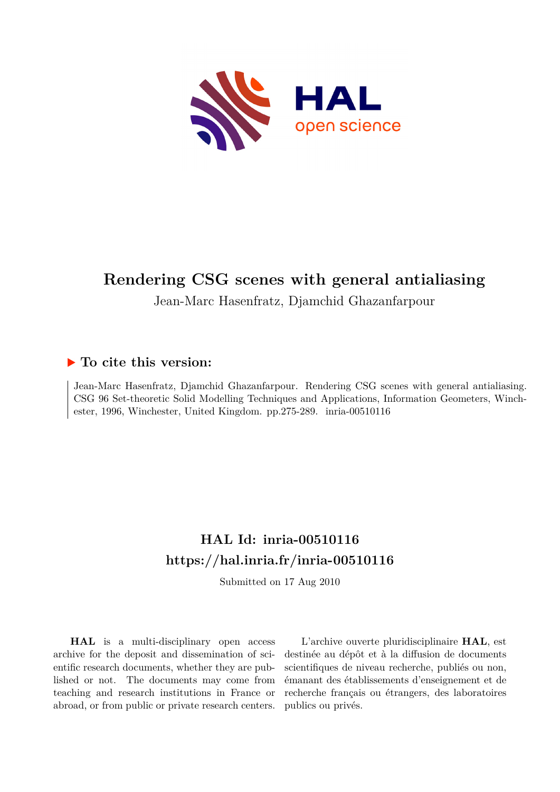

# **Rendering CSG scenes with general antialiasing**

Jean-Marc Hasenfratz, Djamchid Ghazanfarpour

## **To cite this version:**

Jean-Marc Hasenfratz, Djamchid Ghazanfarpour. Rendering CSG scenes with general antialiasing. CSG 96 Set-theoretic Solid Modelling Techniques and Applications, Information Geometers, Winchester, 1996, Winchester, United Kingdom. pp.275-289. inria-00510116

## **HAL Id: inria-00510116 <https://hal.inria.fr/inria-00510116>**

Submitted on 17 Aug 2010

**HAL** is a multi-disciplinary open access archive for the deposit and dissemination of scientific research documents, whether they are published or not. The documents may come from teaching and research institutions in France or abroad, or from public or private research centers.

L'archive ouverte pluridisciplinaire **HAL**, est destinée au dépôt et à la diffusion de documents scientifiques de niveau recherche, publiés ou non, émanant des établissements d'enseignement et de recherche français ou étrangers, des laboratoires publics ou privés.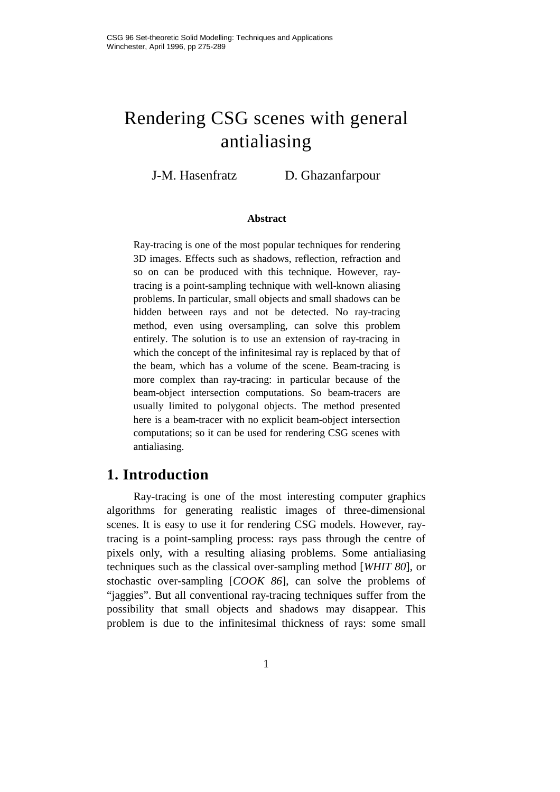# Rendering CSG scenes with general antialiasing

J-M. Hasenfratz D. Ghazanfarpour

#### **Abstract**

Ray-tracing is one of the most popular techniques for rendering 3D images. Effects such as shadows, reflection, refraction and so on can be produced with this technique. However, raytracing is a point-sampling technique with well-known aliasing problems. In particular, small objects and small shadows can be hidden between rays and not be detected. No ray-tracing method, even using oversampling, can solve this problem entirely. The solution is to use an extension of ray-tracing in which the concept of the infinitesimal ray is replaced by that of the beam, which has a volume of the scene. Beam-tracing is more complex than ray-tracing: in particular because of the beam-object intersection computations. So beam-tracers are usually limited to polygonal objects. The method presented here is a beam-tracer with no explicit beam-object intersection computations; so it can be used for rendering CSG scenes with antialiasing.

### **1. Introduction**

Ray-tracing is one of the most interesting computer graphics algorithms for generating realistic images of three-dimensional scenes. It is easy to use it for rendering CSG models. However, raytracing is a point-sampling process: rays pass through the centre of pixels only, with a resulting aliasing problems. Some antialiasing techniques such as the classical over-sampling method [*WHIT 80*], or stochastic over-sampling [*COOK 86*], can solve the problems of "jaggies". But all conventional ray-tracing techniques suffer from the possibility that small objects and shadows may disappear. This problem is due to the infinitesimal thickness of rays: some small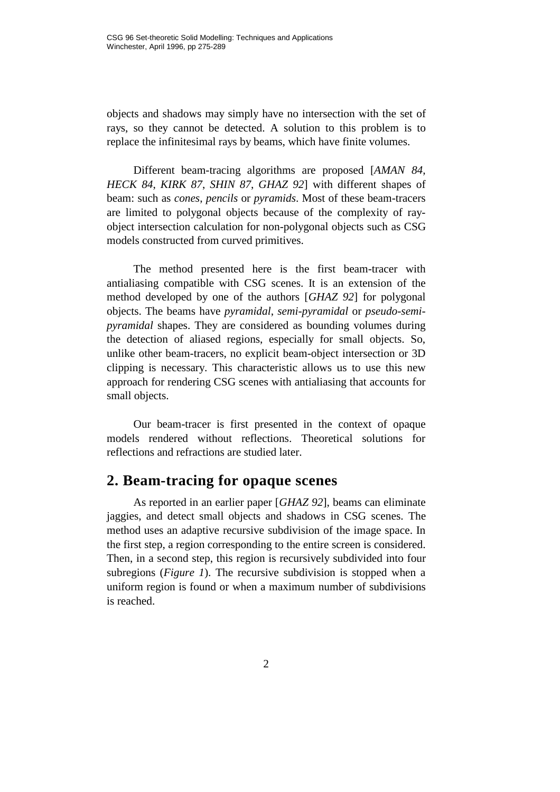objects and shadows may simply have no intersection with the set of rays, so they cannot be detected. A solution to this problem is to replace the infinitesimal rays by beams, which have finite volumes.

Different beam-tracing algorithms are proposed [*AMAN 84*, *HECK 84*, *KIRK 87*, *SHIN 87*, *GHAZ 92*] with different shapes of beam: such as *cones*, *pencils* or *pyramids*. Most of these beam-tracers are limited to polygonal objects because of the complexity of rayobject intersection calculation for non-polygonal objects such as CSG models constructed from curved primitives.

The method presented here is the first beam-tracer with antialiasing compatible with CSG scenes. It is an extension of the method developed by one of the authors [*GHAZ 92*] for polygonal objects. The beams have *pyramidal*, *semi-pyramidal* or *pseudo-semipyramidal* shapes. They are considered as bounding volumes during the detection of aliased regions, especially for small objects. So, unlike other beam-tracers, no explicit beam-object intersection or 3D clipping is necessary. This characteristic allows us to use this new approach for rendering CSG scenes with antialiasing that accounts for small objects.

Our beam-tracer is first presented in the context of opaque models rendered without reflections. Theoretical solutions for reflections and refractions are studied later.

#### **2. Beam-tracing for opaque scenes**

As reported in an earlier paper [*GHAZ 92*], beams can eliminate jaggies, and detect small objects and shadows in CSG scenes. The method uses an adaptive recursive subdivision of the image space. In the first step, a region corresponding to the entire screen is considered. Then, in a second step, this region is recursively subdivided into four subregions (*Figure 1*). The recursive subdivision is stopped when a uniform region is found or when a maximum number of subdivisions is reached.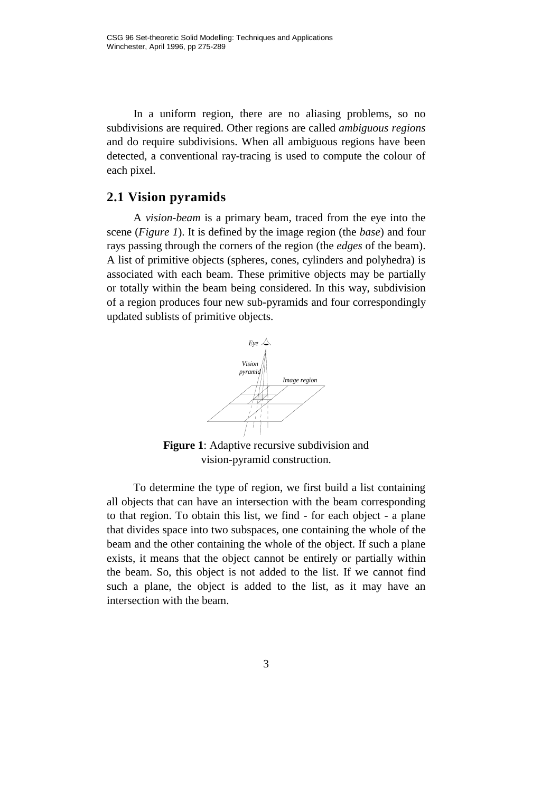In a uniform region, there are no aliasing problems, so no subdivisions are required. Other regions are called *ambiguous regions* and do require subdivisions. When all ambiguous regions have been detected, a conventional ray-tracing is used to compute the colour of each pixel.

#### **2.1 Vision pyramids**

A *vision-beam* is a primary beam, traced from the eye into the scene (*Figure 1*). It is defined by the image region (the *base*) and four rays passing through the corners of the region (the *edges* of the beam). A list of primitive objects (spheres, cones, cylinders and polyhedra) is associated with each beam. These primitive objects may be partially or totally within the beam being considered. In this way, subdivision of a region produces four new sub-pyramids and four correspondingly updated sublists of primitive objects.



**Figure 1**: Adaptive recursive subdivision and vision-pyramid construction.

To determine the type of region, we first build a list containing all objects that can have an intersection with the beam corresponding to that region. To obtain this list, we find - for each object - a plane that divides space into two subspaces, one containing the whole of the beam and the other containing the whole of the object. If such a plane exists, it means that the object cannot be entirely or partially within the beam. So, this object is not added to the list. If we cannot find such a plane, the object is added to the list, as it may have an intersection with the beam.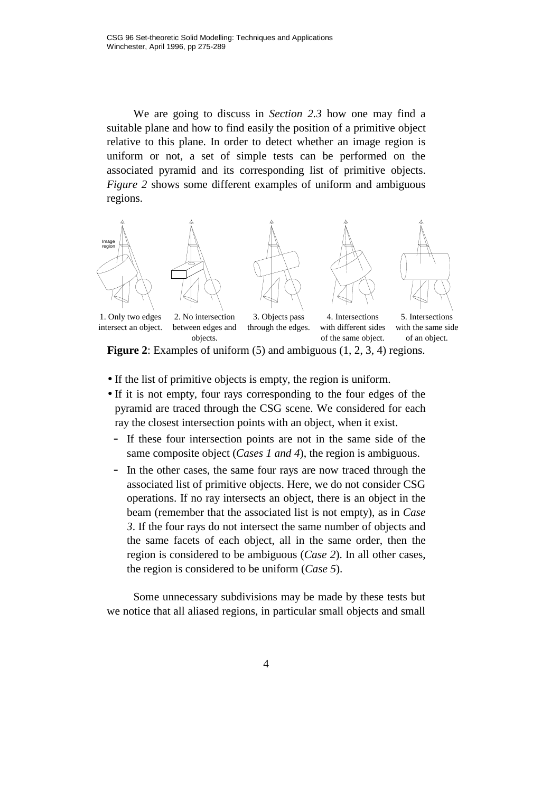We are going to discuss in *Section 2.3* how one may find a suitable plane and how to find easily the position of a primitive object relative to this plane. In order to detect whether an image region is uniform or not, a set of simple tests can be performed on the associated pyramid and its corresponding list of primitive objects. *Figure 2* shows some different examples of uniform and ambiguous regions.



**Figure 2**: Examples of uniform (5) and ambiguous (1, 2, 3, 4) regions.

- If the list of primitive objects is empty, the region is uniform.
- If it is not empty, four rays corresponding to the four edges of the pyramid are traced through the CSG scene. We considered for each ray the closest intersection points with an object, when it exist.
	- If these four intersection points are not in the same side of the same composite object (*Cases 1 and 4*), the region is ambiguous.
	- In the other cases, the same four rays are now traced through the associated list of primitive objects. Here, we do not consider CSG operations. If no ray intersects an object, there is an object in the beam (remember that the associated list is not empty), as in *Case 3*. If the four rays do not intersect the same number of objects and the same facets of each object, all in the same order, then the region is considered to be ambiguous (*Case 2*). In all other cases, the region is considered to be uniform (*Case 5*).

Some unnecessary subdivisions may be made by these tests but we notice that all aliased regions, in particular small objects and small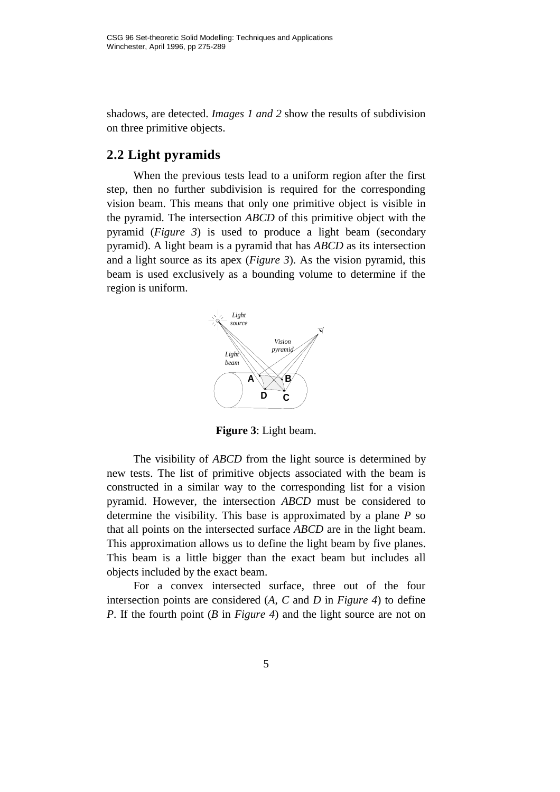shadows, are detected. *Images 1 and 2* show the results of subdivision on three primitive objects.

#### **2.2 Light pyramids**

When the previous tests lead to a uniform region after the first step, then no further subdivision is required for the corresponding vision beam. This means that only one primitive object is visible in the pyramid. The intersection *ABCD* of this primitive object with the pyramid (*Figure 3*) is used to produce a light beam (secondary pyramid). A light beam is a pyramid that has *ABCD* as its intersection and a light source as its apex (*Figure 3*). As the vision pyramid, this beam is used exclusively as a bounding volume to determine if the region is uniform.



**Figure 3**: Light beam.

The visibility of *ABCD* from the light source is determined by new tests. The list of primitive objects associated with the beam is constructed in a similar way to the corresponding list for a vision pyramid. However, the intersection *ABCD* must be considered to determine the visibility. This base is approximated by a plane *P* so that all points on the intersected surface *ABCD* are in the light beam. This approximation allows us to define the light beam by five planes. This beam is a little bigger than the exact beam but includes all objects included by the exact beam.

For a convex intersected surface, three out of the four intersection points are considered (*A*, *C* and *D* in *Figure 4*) to define *P*. If the fourth point (*B* in *Figure 4*) and the light source are not on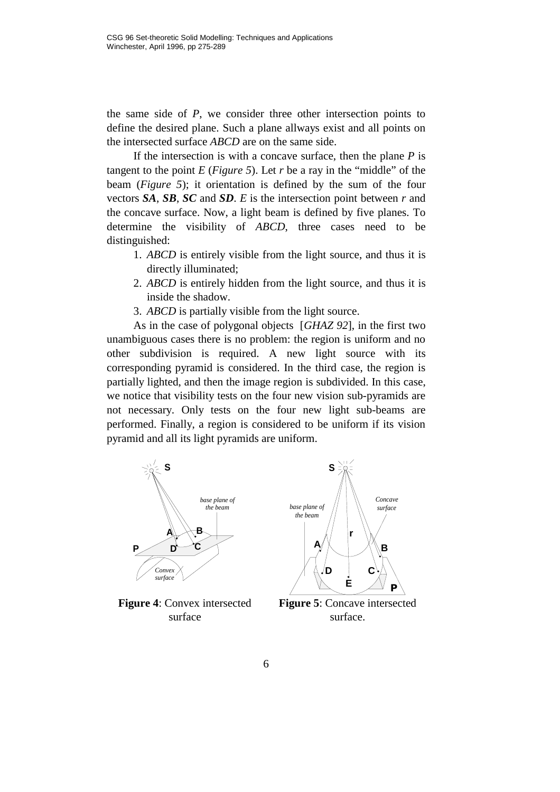the same side of *P*, we consider three other intersection points to define the desired plane. Such a plane allways exist and all points on the intersected surface *ABCD* are on the same side.

If the intersection is with a concave surface, then the plane *P* is tangent to the point  $E$  (*Figure 5*). Let  $r$  be a ray in the "middle" of the beam (*Figure 5*); it orientation is defined by the sum of the four vectors *SA*, *SB*, *SC* and *SD*. *E* is the intersection point between *r* and the concave surface. Now, a light beam is defined by five planes. To determine the visibility of *ABCD*, three cases need to be distinguished:

- 1. *ABCD* is entirely visible from the light source, and thus it is directly illuminated;
- 2. *ABCD* is entirely hidden from the light source, and thus it is inside the shadow.

3. *ABCD* is partially visible from the light source.

As in the case of polygonal objects [*GHAZ 92*], in the first two unambiguous cases there is no problem: the region is uniform and no other subdivision is required. A new light source with its corresponding pyramid is considered. In the third case, the region is partially lighted, and then the image region is subdivided. In this case, we notice that visibility tests on the four new vision sub-pyramids are not necessary. Only tests on the four new light sub-beams are performed. Finally, a region is considered to be uniform if its vision pyramid and all its light pyramids are uniform.



**Figure 4**: Convex intersected surface

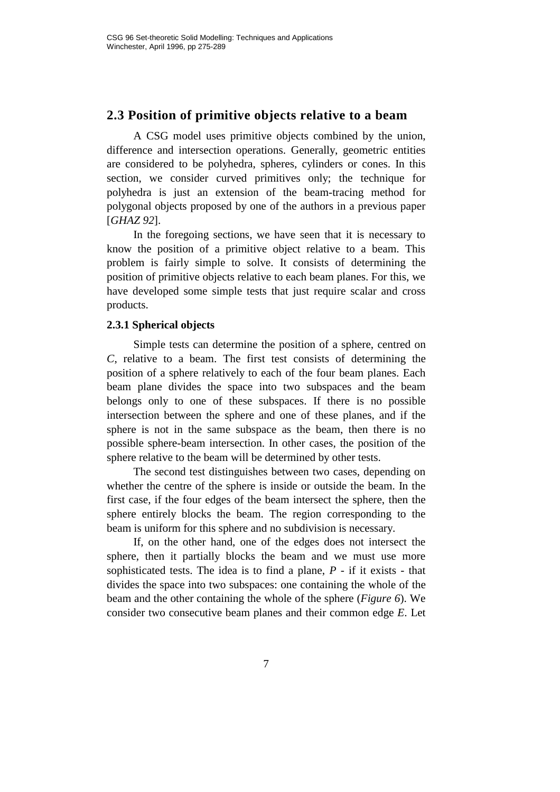#### **2.3 Position of primitive objects relative to a beam**

A CSG model uses primitive objects combined by the union, difference and intersection operations. Generally, geometric entities are considered to be polyhedra, spheres, cylinders or cones. In this section, we consider curved primitives only; the technique for polyhedra is just an extension of the beam-tracing method for polygonal objects proposed by one of the authors in a previous paper [*GHAZ 92*].

In the foregoing sections, we have seen that it is necessary to know the position of a primitive object relative to a beam. This problem is fairly simple to solve. It consists of determining the position of primitive objects relative to each beam planes. For this, we have developed some simple tests that just require scalar and cross products.

#### **2.3.1 Spherical objects**

Simple tests can determine the position of a sphere, centred on *C*, relative to a beam. The first test consists of determining the position of a sphere relatively to each of the four beam planes. Each beam plane divides the space into two subspaces and the beam belongs only to one of these subspaces. If there is no possible intersection between the sphere and one of these planes, and if the sphere is not in the same subspace as the beam, then there is no possible sphere-beam intersection. In other cases, the position of the sphere relative to the beam will be determined by other tests.

The second test distinguishes between two cases, depending on whether the centre of the sphere is inside or outside the beam. In the first case, if the four edges of the beam intersect the sphere, then the sphere entirely blocks the beam. The region corresponding to the beam is uniform for this sphere and no subdivision is necessary.

If, on the other hand, one of the edges does not intersect the sphere, then it partially blocks the beam and we must use more sophisticated tests. The idea is to find a plane, *P* - if it exists - that divides the space into two subspaces: one containing the whole of the beam and the other containing the whole of the sphere (*Figure 6*). We consider two consecutive beam planes and their common edge *E*. Let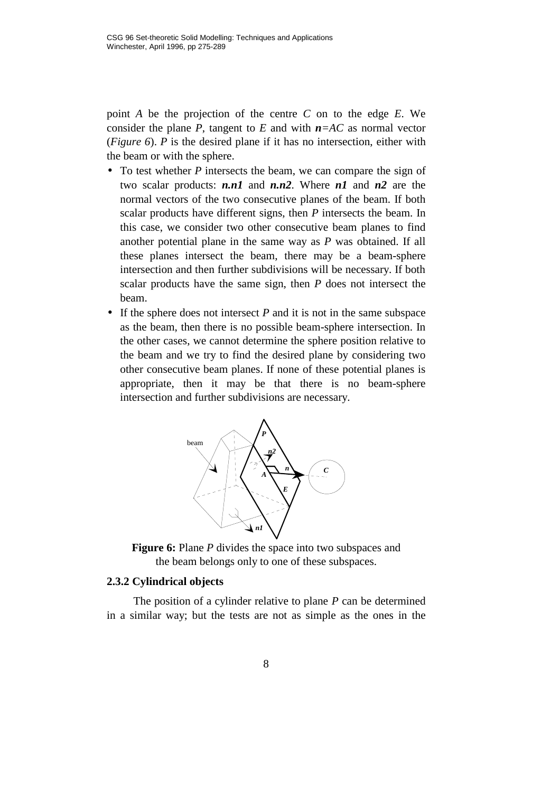point *A* be the projection of the centre *C* on to the edge *E*. We consider the plane *P*, tangent to *E* and with  $n = AC$  as normal vector (*Figure 6*). *P* is the desired plane if it has no intersection, either with the beam or with the sphere.

- To test whether *P* intersects the beam, we can compare the sign of two scalar products: *n.n1* and *n.n2*. Where *n1* and *n2* are the normal vectors of the two consecutive planes of the beam. If both scalar products have different signs, then *P* intersects the beam. In this case, we consider two other consecutive beam planes to find another potential plane in the same way as *P* was obtained. If all these planes intersect the beam, there may be a beam-sphere intersection and then further subdivisions will be necessary. If both scalar products have the same sign, then *P* does not intersect the beam.
- If the sphere does not intersect *P* and it is not in the same subspace as the beam, then there is no possible beam-sphere intersection. In the other cases, we cannot determine the sphere position relative to the beam and we try to find the desired plane by considering two other consecutive beam planes. If none of these potential planes is appropriate, then it may be that there is no beam-sphere intersection and further subdivisions are necessary.





#### **2.3.2 Cylindrical objects**

The position of a cylinder relative to plane *P* can be determined in a similar way; but the tests are not as simple as the ones in the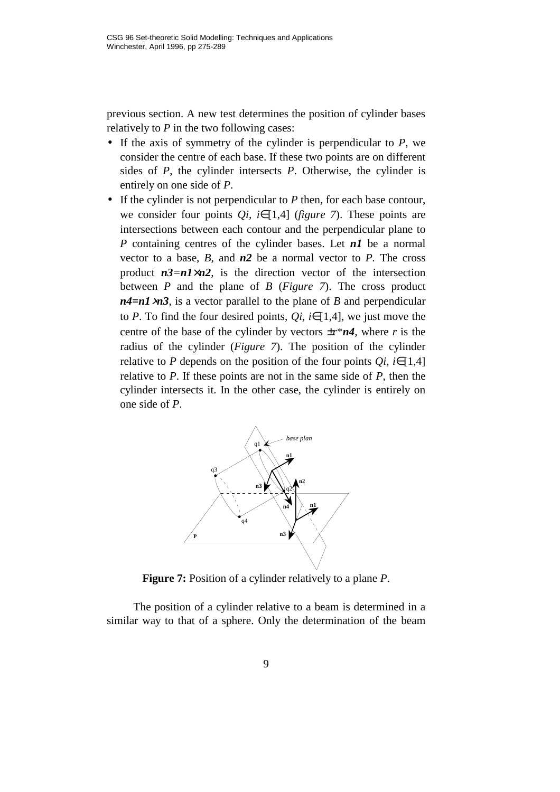previous section. A new test determines the position of cylinder bases relatively to *P* in the two following cases:

- If the axis of symmetry of the cylinder is perpendicular to *P*, we consider the centre of each base. If these two points are on different sides of *P*, the cylinder intersects *P*. Otherwise, the cylinder is entirely on one side of *P*.
- If the cylinder is not perpendicular to *P* then, for each base contour, we consider four points *Qi, i*∈[1,4] (*figure 7*). These points are intersections between each contour and the perpendicular plane to *P* containing centres of the cylinder bases. Let *n1* be a normal vector to a base, *B*, and *n2* be a normal vector to *P.* The cross product  $n3 = n1 \times n2$ , is the direction vector of the intersection between *P* and the plane of *B* (*Figure 7*). The cross product *n4=n1*×*n3*, is a vector parallel to the plane of *B* and perpendicular to *P*. To find the four desired points,  $Qi$ ,  $i \in [1,4]$ , we just move the centre of the base of the cylinder by vectors  $\pm r^* n4$ , where *r* is the radius of the cylinder (*Figure 7*). The position of the cylinder relative to *P* depends on the position of the four points  $Qi$ , *i*∈[1,4] relative to *P*. If these points are not in the same side of *P*, then the cylinder intersects it. In the other case, the cylinder is entirely on one side of *P*.



**Figure 7:** Position of a cylinder relatively to a plane *P*.

The position of a cylinder relative to a beam is determined in a similar way to that of a sphere. Only the determination of the beam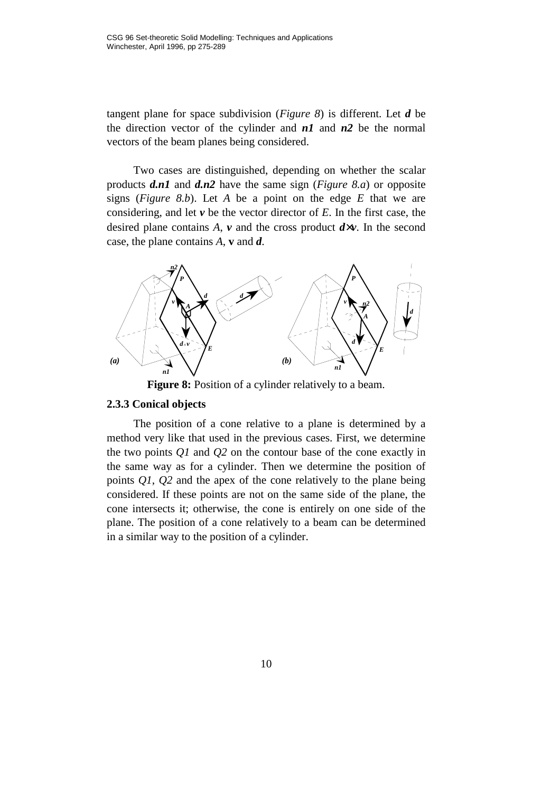tangent plane for space subdivision (*Figure 8*) is different. Let *d* be the direction vector of the cylinder and *n1* and *n2* be the normal vectors of the beam planes being considered.

Two cases are distinguished, depending on whether the scalar products *d.n1* and *d.n2* have the same sign (*Figure 8.a*) or opposite signs (*Figure 8.b*). Let *A* be a point on the edge *E* that we are considering, and let *v* be the vector director of *E*. In the first case, the desired plane contains  $A$ ,  $v$  and the cross product  $d \times v$ . In the second case, the plane contains *A*, **v** and *d*.



Figure 8: Position of a cylinder relatively to a beam.

#### **2.3.3 Conical objects**

The position of a cone relative to a plane is determined by a method very like that used in the previous cases. First, we determine the two points *Q1* and *Q2* on the contour base of the cone exactly in the same way as for a cylinder. Then we determine the position of points *Q1*, *Q2* and the apex of the cone relatively to the plane being considered. If these points are not on the same side of the plane, the cone intersects it; otherwise, the cone is entirely on one side of the plane. The position of a cone relatively to a beam can be determined in a similar way to the position of a cylinder.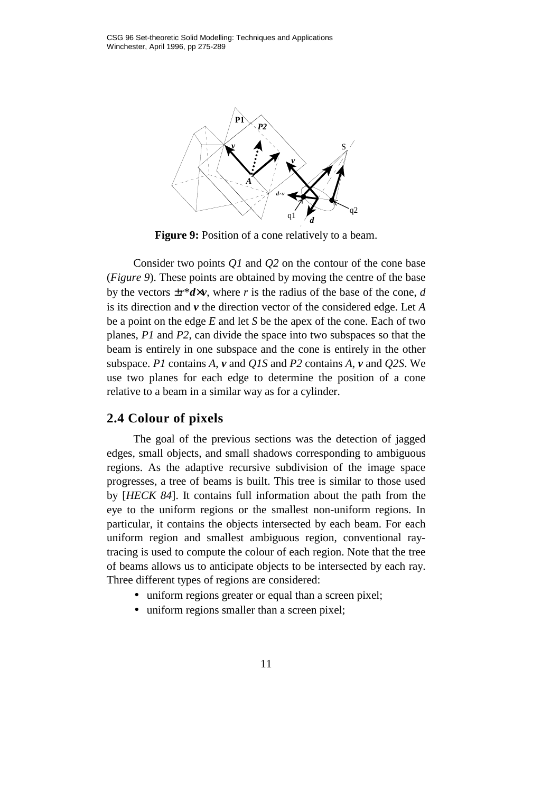

**Figure 9:** Position of a cone relatively to a beam.

Consider two points *Q1* and *Q2* on the contour of the cone base (*Figure 9*). These points are obtained by moving the centre of the base by the vectors  $\pm r^*d \times v$ , where *r* is the radius of the base of the cone, *d* is its direction and *v* the direction vector of the considered edge. Let *A* be a point on the edge *E* and let *S* be the apex of the cone. Each of two planes, *P1* and *P2*, can divide the space into two subspaces so that the beam is entirely in one subspace and the cone is entirely in the other subspace. *P1* contains *A*, *v* and *Q1S* and *P2* contains *A*, *v* and *Q2S*. We use two planes for each edge to determine the position of a cone relative to a beam in a similar way as for a cylinder.

#### **2.4 Colour of pixels**

The goal of the previous sections was the detection of jagged edges, small objects, and small shadows corresponding to ambiguous regions. As the adaptive recursive subdivision of the image space progresses, a tree of beams is built. This tree is similar to those used by [*HECK 84*]. It contains full information about the path from the eye to the uniform regions or the smallest non-uniform regions. In particular, it contains the objects intersected by each beam. For each uniform region and smallest ambiguous region, conventional raytracing is used to compute the colour of each region. Note that the tree of beams allows us to anticipate objects to be intersected by each ray. Three different types of regions are considered:

- uniform regions greater or equal than a screen pixel;
- uniform regions smaller than a screen pixel;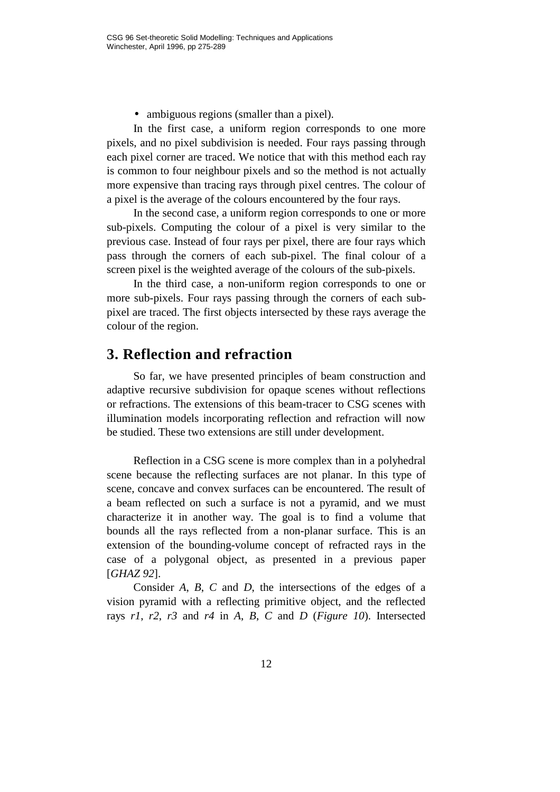• ambiguous regions (smaller than a pixel).

In the first case, a uniform region corresponds to one more pixels, and no pixel subdivision is needed. Four rays passing through each pixel corner are traced. We notice that with this method each ray is common to four neighbour pixels and so the method is not actually more expensive than tracing rays through pixel centres. The colour of a pixel is the average of the colours encountered by the four rays.

In the second case, a uniform region corresponds to one or more sub-pixels. Computing the colour of a pixel is very similar to the previous case. Instead of four rays per pixel, there are four rays which pass through the corners of each sub-pixel. The final colour of a screen pixel is the weighted average of the colours of the sub-pixels.

In the third case, a non-uniform region corresponds to one or more sub-pixels. Four rays passing through the corners of each subpixel are traced. The first objects intersected by these rays average the colour of the region.

#### **3. Reflection and refraction**

So far, we have presented principles of beam construction and adaptive recursive subdivision for opaque scenes without reflections or refractions. The extensions of this beam-tracer to CSG scenes with illumination models incorporating reflection and refraction will now be studied. These two extensions are still under development.

Reflection in a CSG scene is more complex than in a polyhedral scene because the reflecting surfaces are not planar. In this type of scene, concave and convex surfaces can be encountered. The result of a beam reflected on such a surface is not a pyramid, and we must characterize it in another way. The goal is to find a volume that bounds all the rays reflected from a non-planar surface. This is an extension of the bounding-volume concept of refracted rays in the case of a polygonal object, as presented in a previous paper [*GHAZ 92*].

Consider *A*, *B*, *C* and *D*, the intersections of the edges of a vision pyramid with a reflecting primitive object, and the reflected rays *r1*, *r2*, *r3* and *r4* in *A*, *B*, *C* and *D* (*Figure 10*). Intersected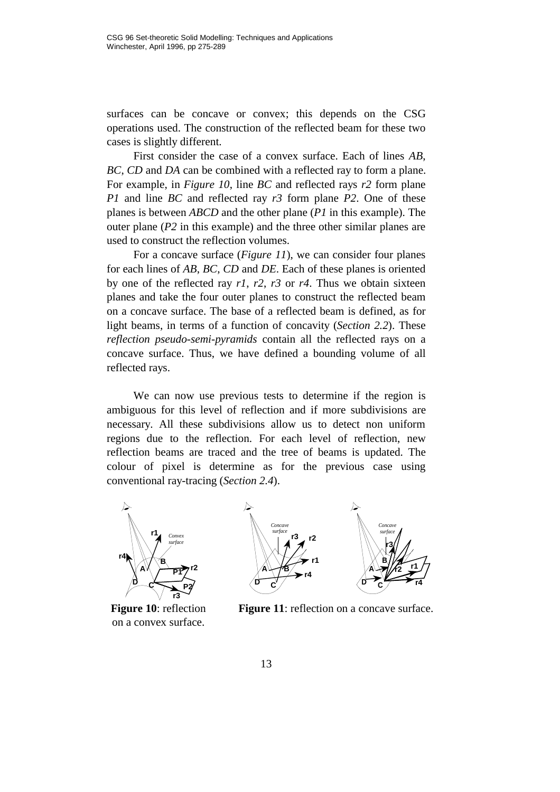surfaces can be concave or convex; this depends on the CSG operations used. The construction of the reflected beam for these two cases is slightly different.

First consider the case of a convex surface. Each of lines *AB*, *BC*, *CD* and *DA* can be combined with a reflected ray to form a plane. For example, in *Figure 10*, line *BC* and reflected rays *r2* form plane *P1* and line *BC* and reflected ray *r3* form plane *P2*. One of these planes is between *ABCD* and the other plane (*P1* in this example). The outer plane (*P2* in this example) and the three other similar planes are used to construct the reflection volumes.

For a concave surface (*Figure 11*), we can consider four planes for each lines of *AB*, *BC*, *CD* and *DE*. Each of these planes is oriented by one of the reflected ray *r1*, *r2*, *r3* or *r4*. Thus we obtain sixteen planes and take the four outer planes to construct the reflected beam on a concave surface. The base of a reflected beam is defined, as for light beams, in terms of a function of concavity (*Section 2.2*). These *reflection pseudo-semi-pyramids* contain all the reflected rays on a concave surface. Thus, we have defined a bounding volume of all reflected rays.

We can now use previous tests to determine if the region is ambiguous for this level of reflection and if more subdivisions are necessary. All these subdivisions allow us to detect non uniform regions due to the reflection. For each level of reflection, new reflection beams are traced and the tree of beams is updated. The colour of pixel is determine as for the previous case using conventional ray-tracing (*Section 2.4*).



**Figure 10**: reflection on a convex surface.





**Figure 11**: reflection on a concave surface.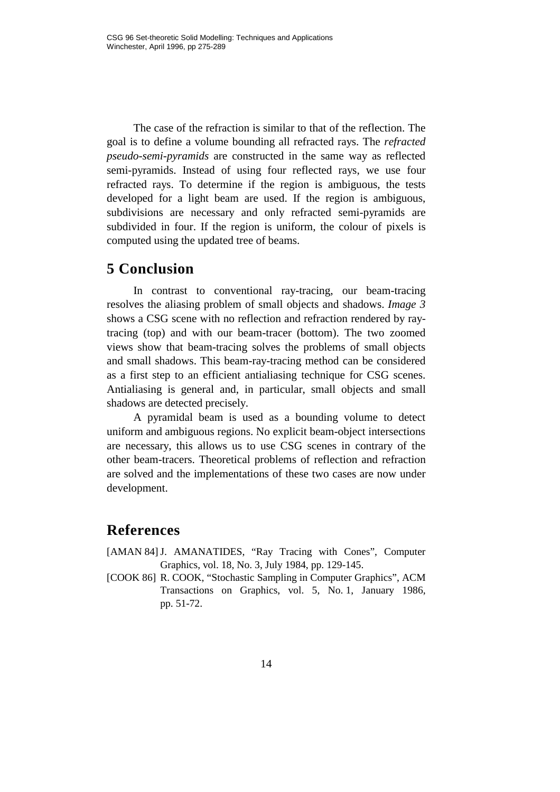The case of the refraction is similar to that of the reflection. The goal is to define a volume bounding all refracted rays. The *refracted pseudo-semi-pyramids* are constructed in the same way as reflected semi-pyramids. Instead of using four reflected rays, we use four refracted rays. To determine if the region is ambiguous, the tests developed for a light beam are used. If the region is ambiguous, subdivisions are necessary and only refracted semi-pyramids are subdivided in four. If the region is uniform, the colour of pixels is computed using the updated tree of beams.

## **5 Conclusion**

In contrast to conventional ray-tracing, our beam-tracing resolves the aliasing problem of small objects and shadows. *Image 3* shows a CSG scene with no reflection and refraction rendered by raytracing (top) and with our beam-tracer (bottom). The two zoomed views show that beam-tracing solves the problems of small objects and small shadows. This beam-ray-tracing method can be considered as a first step to an efficient antialiasing technique for CSG scenes. Antialiasing is general and, in particular, small objects and small shadows are detected precisely.

A pyramidal beam is used as a bounding volume to detect uniform and ambiguous regions. No explicit beam-object intersections are necessary, this allows us to use CSG scenes in contrary of the other beam-tracers. Theoretical problems of reflection and refraction are solved and the implementations of these two cases are now under development.

## **References**

- [AMAN 84]J. AMANATIDES, "Ray Tracing with Cones", Computer Graphics, vol. 18, No. 3, July 1984, pp. 129-145.
- [COOK 86] R. COOK, "Stochastic Sampling in Computer Graphics", ACM Transactions on Graphics, vol. 5, No. 1, January 1986, pp. 51-72.